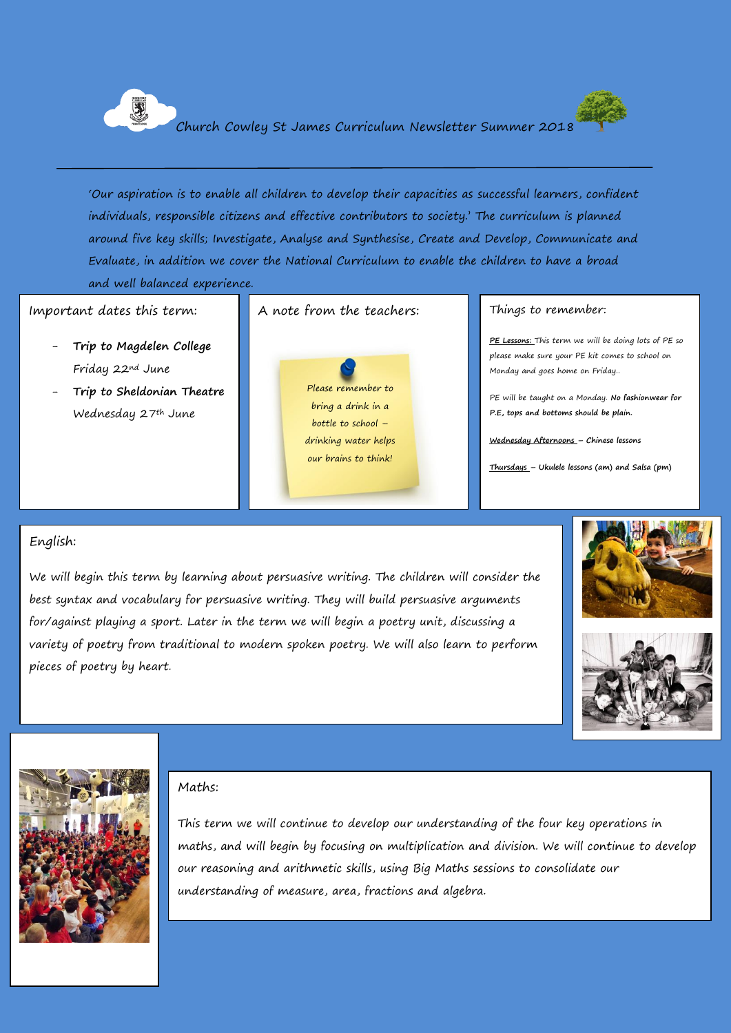

'Our aspiration is to enable all children to develop their capacities as successful learners, confident individuals, responsible citizens and effective contributors to society.' The curriculum is planned around five key skills; Investigate, Analyse and Synthesise, Create and Develop, Communicate and Evaluate, in addition we cover the National Curriculum to enable the children to have a broad and well balanced experience.

#### Important dates this term:

- **Trip to Magdelen College** Friday 22nd June
- **Trip to Sheldonian Theatre**  Wednesday 27th June





#### A note from the teachers: Things to remember:

**PE Lessons:** This term we will be doing lots of PE so please make sure your PE kit comes to school on Monday and goes home on Friday..

PE will be taught on a Monday. **No fashionwear for P.E, tops and bottoms should be plain.** 

**Wednesday Afternoons – Chinese lessons**

**Thursdays – Ukulele lessons (am) and Salsa (pm)**

#### English:

We will begin this term by learning about persuasive writing. The children will consider the best syntax and vocabulary for persuasive writing. They will build persuasive arguments for/against playing a sport. Later in the term we will begin a poetry unit, discussing a variety of poetry from traditional to modern spoken poetry. We will also learn to perform pieces of poetry by heart.







#### Maths:

This term we will continue to develop our understanding of the four key operations in maths, and will begin by focusing on multiplication and division. We will continue to develop our reasoning and arithmetic skills, using Big Maths sessions to consolidate our understanding of measure, area, fractions and algebra.